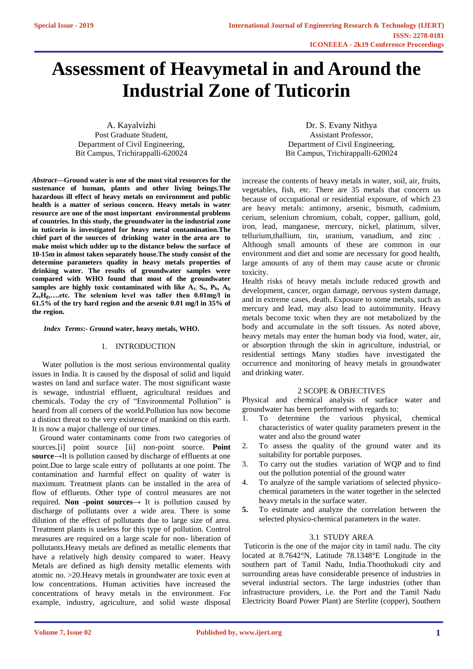# **Assessment of Heavymetal in and Around the Industrial Zone of Tuticorin**

A. Kayalvizhi Post Graduate Student, Department of Civil Engineering, Bit Campus, Trichirappalli-620024

*Abstract***—Ground water is one of the most vital resources for the sustenance of human, plants and other living beings.The hazardous ill effect of heavy metals on environment and public health is a matter of serious concern. Heavy metals in water resource are one of the most important environmental problems of countries. In this study, the groundwater in the industrial zone in tuticorin is investigated for heavy metal contamination.The chief part of the sources of drinking water in the area are to make moist which udder up to the distance below the surface of 10-15m in almost taken separately house.The study consist of the determine parameters quality in heavy metals properties of drinking water. The results of groundwater samples were compared with WHO found that most of the groundwater samples are highly toxic contaminated with like Ar, Se, Pb, Al, Ze,Hg,….etc. The selenium level was taller then 0.01mg/l in 61.5% of the try hard region and the arsenic 0.01 mg/l in 35% of the region.** 

#### *Index Terms***:-** *G***round water, heavy metals, WHO.**

# 1. INTRODUCTION

Water pollution is the most serious environmental quality issues in India. It is caused by the disposal of solid and liquid wastes on land and surface water. The most significant waste is sewage, industrial effluent, agricultural residues and chemicals. Today the cry of "Environmental Pollution" is heard from all corners of the world.Pollution has now become a distinct threat to the very existence of mankind on this earth. It is now a major challenge of our times.

Ground water contaminants come from two categories of sources.[i] point source [ii] non-point source. **Point source**→It is pollution caused by discharge of effluents at one point.Due to large scale entry of pollutants at one point. The contamination and harmful effect on quality of water is maximum. Treatment plants can be installed in the area of flow of effluents. Other type of control measures are not required. **Non -point sources**→ It is pollution caused by discharge of pollutants over a wide area. There is some dilution of the effect of pollutants due to large size of area. Treatment plants is useless for this type of pollution. Control measures are required on a large scale for non- liberation of pollutants.Heavy metals are defined as metallic elements that have a relatively high density compared to water. Heavy Metals are defined as high density metallic elements with atomic no. >20.Heavy metals in groundwater are toxic even at low concentrations. Human activities have increased the concentrations of heavy metals in the environment. For example, industry, agriculture, and solid waste disposal

Dr. S. Evany Nithya Assistant Professor, Department of Civil Engineering, Bit Campus, Trichirappalli-620024

increase the contents of heavy metals in water, soil, air, fruits, vegetables, fish, etc. There are 35 metals that concern us because of occupational or residential exposure, of which 23 are heavy metals: antimony, arsenic, bismuth, cadmium, cerium, selenium chromium, cobalt, copper, gallium, gold, iron, lead, manganese, mercury, nickel, platinum, silver, tellurium,thallium, tin, uranium, vanadium, and zinc . Although small amounts of these are common in our environment and diet and some are necessary for good health, large amounts of any of them may cause acute or chronic toxicity.

Health risks of heavy metals include reduced growth and development, cancer, organ damage, nervous system damage, and in extreme cases, death. Exposure to some metals, such as mercury and lead, may also lead to autoimmunity. Heavy metals become toxic when they are not metabolized by the body and accumulate in the soft tissues. As noted above, heavy metals may enter the human body via food, water, air, or absorption through the skin in agriculture, industrial, or residential settings Many studies have investigated the occurrence and monitoring of heavy metals in groundwater and drinking water.

## 2 SCOPE & OBJECTIVES

Physical and chemical analysis of surface water and groundwater has been performed with regards to:

- 1. To determine the various physical, chemical characteristics of water quality parameters present in the water and also the ground water
- 2. To assess the quality of the ground water and its suitability for portable purposes.
- 3. To carry out the studies variation of WQP and to find out the pollution potential of the ground water
- 4. To analyze of the sample variations of selected physicochemical parameters in the water together in the selected heavy metals in the surface water.
- **5.** To estimate and analyze the correlation between the selected physico-chemical parameters in the water.

## 3.1 STUDY AREA

Tuticorin is the one of the major city in tamil nadu. The city located at 8.7642°N, Latitude 78.1348°E Longitude in the southern part of Tamil Nadu, India.Thoothukudi city and surrounding areas have considerable presence of industries in several industrial sectors. The large industries (other than infrastructure providers, i.e. the Port and the Tamil Nadu Electricity Board Power Plant) are Sterlite (copper), Southern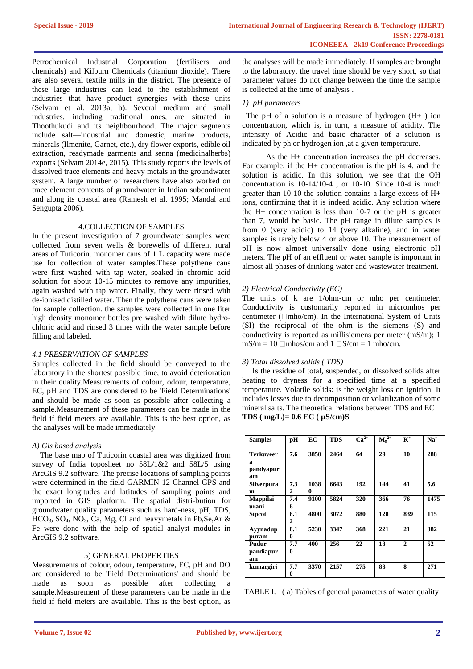Petrochemical Industrial Corporation (fertilisers and chemicals) and Kilburn Chemicals (titanium dioxide). There are also several textile mills in the district. The presence of these large industries can lead to the establishment of industries that have product synergies with these units (Selvam et al. 2013a, b). Several medium and small industries, including traditional ones, are situated in Thoothukudi and its neighbourhood. The major segments include salt—industrial and domestic, marine products, minerals (Ilmenite, Garnet, etc.), dry flower exports, edible oil extraction, readymade garments and senna (medicinalherbs) exports (Selvam 2014e, 2015). This study reports the levels of dissolved trace elements and heavy metals in the groundwater system. A large number of researchers have also worked on trace element contents of groundwater in Indian subcontinent and along its coastal area (Ramesh et al. 1995; Mandal and Sengupta 2006).

## 4.COLLECTION OF SAMPLES

In the present investigation of 7 groundwater samples were collected from seven wells & borewells of different rural areas of Tuticorin. monomer cans of 1 L capacity were made use for collection of water samples.These polythene cans were first washed with tap water, soaked in chromic acid solution for about 10-15 minutes to remove any impurities, again washed with tap water. Finally, they were rinsed with de-ionised distilled water. Then the polythene cans were taken for sample collection. the samples were collected in one liter high density monomer bottles pre washed with dilute hydrochloric acid and rinsed 3 times with the water sample before filling and labeled.

## *4.1 PRESERVATION OF SAMPLES*

Samples collected in the field should be conveyed to the laboratory in the shortest possible time, to avoid deterioration in their quality.Measurements of colour, odour, temperature, EC, pH and TDS are considered to be 'Field Determinations' and should be made as soon as possible after collecting a sample.Measurement of these parameters can be made in the field if field meters are available. This is the best option, as the analyses will be made immediately.

# *A) Gis based analysis*

The base map of Tuticorin coastal area was digitized from survey of India toposheet no  $58L/1&2$  and  $58L/5$  using ArcGIS 9.2 software. The precise locations of sampling points were determined in the field GARMIN 12 Channel GPS and the exact longitudes and latitudes of sampling points and imported in GIS platform. The spatial distri-bution for groundwater quality parameters such as hard-ness, pH, TDS,  $HCO<sub>3</sub>$ ,  $SO<sub>4</sub>$ ,  $NO<sub>3</sub>$ ,  $Ca$ ,  $Mg$ ,  $Cl$  and heavymetals in Pb, Se, Ar & Fe were done with the help of spatial analyst modules in ArcGIS 9.2 software.

## 5) GENERAL PROPERTIES

Measurements of colour, odour, temperature, EC, pH and DO are considered to be 'Field Determinations' and should be made as soon as possible after collecting sample.Measurement of these parameters can be made in the field if field meters are available. This is the best option, as

the analyses will be made immediately. If samples are brought to the laboratory, the travel time should be very short, so that parameter values do not change between the time the sample is collected at the time of analysis .

# *1) pH parameters*

The pH of a solution is a measure of hydrogen  $(H+ )$  ion concentration, which is, in turn, a measure of acidity. The intensity of Acidic and basic character of a solution is indicated by ph or hydrogen ion ,at a given temperature.

As the H+ concentration increases the pH decreases. For example, if the H+ concentration is the pH is 4, and the solution is acidic. In this solution, we see that the OH concentration is 10-14/10-4 , or 10-10. Since 10-4 is much greater than 10-10 the solution contains a large excess of H+ ions, confirming that it is indeed acidic. Any solution where the  $H<sub>+</sub>$  concentration is less than 10-7 or the pH is greater than 7, would be basic. The pH range in dilute samples is from 0 (very acidic) to 14 (very alkaline), and in water samples is rarely below 4 or above 10. The measurement of pH is now almost universally done using electronic pH meters. The pH of an effluent or water sample is important in almost all phases of drinking water and wastewater treatment.

# *2) Electrical Conductivity (EC)*

The units of k are 1/ohm-cm or mho per centimeter. Conductivity is customarily reported in micromhos per centimeter ( $\Box$ mho/cm). In the International System of Units (SI) the reciprocal of the ohm is the siemens (S) and conductivity is reported as millisiemens per meter (mS/m); 1  $mS/m = 10$  mhos/cm and  $1 \Box S/cm = 1$  mho/cm.

# *3) Total dissolved solids ( TDS)*

Is the residue of total, suspended, or dissolved solids after heating to dryness for a specified time at a specified temperature. Volatile solids: is the weight loss on ignition. It includes losses due to decomposition or volatilization of some mineral salts. The theoretical relations between TDS and EC **TDS ( mg/L)= 0.6 EC ( µS/cm)S**

| <b>Samples</b>                           | pH       | EC        | <b>TDS</b> | $\overline{\mathbf{Ca}^{2+}}$ | $M_{\rm g}^{2+}$ | $K^+$        | $Na+$ |
|------------------------------------------|----------|-----------|------------|-------------------------------|------------------|--------------|-------|
| <b>Terkuveer</b><br>a<br>pandyapur<br>am | 7.6      | 3850      | 2464       | 64                            | 29               | 10           | 288   |
| <b>Silverpura</b><br>m                   | 7.3<br>2 | 1038<br>0 | 6643       | 192                           | 144              | 41           | 5.6   |
| <b>Mappilai</b><br>urani                 | 7.4<br>6 | 9100      | 5824       | 320                           | 366              | 76           | 1475  |
| <b>Sipcot</b>                            | 8.1<br>2 | 4800      | 3072       | 880                           | 128              | 839          | 115   |
| Ayynadup<br>puram                        | 8.1<br>0 | 5230      | 3347       | 368                           | 221              | 21           | 382   |
| Pudur<br>pandiapur<br>am                 | 7.7<br>0 | 400       | 256        | 22                            | 13               | $\mathbf{2}$ | 52    |
| kumargiri                                | 7.7<br>0 | 3370      | 2157       | 275                           | 83               | 8            | 271   |

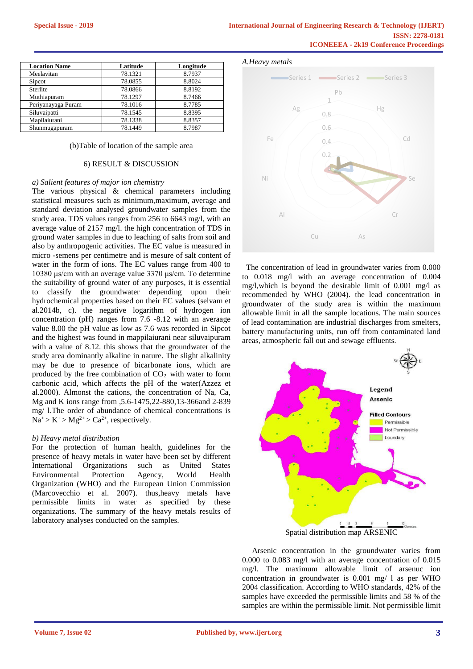| <b>Location Name</b> | Latitude | Longitude |  |
|----------------------|----------|-----------|--|
| Meelavitan           | 78.1321  | 8.7937    |  |
| Sipcot               | 78.0855  | 8.8024    |  |
| Sterlite             | 78.0866  | 8.8192    |  |
| Muthiapuram          | 78.1297  | 8.7466    |  |
| Periyanayaga Puram   | 78.1016  | 8.7785    |  |
| Siluvaipatti         | 78.1545  | 8.8395    |  |
| Mapilaiurani         | 78.1338  | 8.8357    |  |
| Shunmugapuram        | 78.1449  | 8.7987    |  |

#### (b)Table of location of the sample area

#### 6) RESULT & DISCUSSION

#### *a) Salient features of major ion chemistry*

The various physical & chemical parameters including statistical measures such as minimum, maximum, average and standard deviation analysed groundwater samples from the study area. TDS values ranges from 256 to 6643 mg/l, with an average value of 2157 mg/l. the high concentration of TDS in ground water samples in due to leaching of salts from soil and also by anthropogenic activities. The EC value is measured in micro -semens per centimetre and is mesure of salt content of water in the form of ions. The EC values range from 400 to 10380 μs/cm with an average value 3370 μs/cm. To determine the suitability of ground water of any purposes, it is essential to classify the groundwater depending upon their hydrochemical properties based on their EC values (selvam et al.2014b, c). the negative logarithm of hydrogen ion concentration (pH) ranges from 7.6 -8.12 with an averaage value 8.00 the pH value as low as 7.6 was recorded in Sipcot and the highest was found in mappilaiurani near siluvaipuram with a value of 8.12. this shows that the groundwater of the study area dominantly alkaline in nature. The slight alkalinity may be due to presence of bicarbonate ions, which are produced by the free combination of  $CO<sub>2</sub>$  with water to form carbonic acid, which affects the pH of the water(Azzez et al.2000). Almonst the cations, the concentration of Na, Ca, Mg and K ions range from ,5.6-1475,22-880,13-366and 2-839 mg/ l.The order of abundance of chemical concentrations is  $Na^+ > K^+ > Mg^{2+} > Ca^{2+}$ , respectively.

#### *b) Heavy metal distribution*

For the protection of human health, guidelines for the presence of heavy metals in water have been set by different International Organizations such as United States Environmental Protection Agency, World Health Organization (WHO) and the European Union Commission (Marcovecchio et al. 2007). thus,heavy metals have permissible limits in water as specified by these organizations. The summary of the heavy metals results of laboratory analyses conducted on the samples.

#### *A.Heavy metals*



The concentration of lead in groundwater varies from 0.000 to 0.018 mg/l with an average concentration of 0.004 mg/l,which is beyond the desirable limit of 0.001 mg/l as recommended by WHO (2004). the lead concentration in groundwater of the study area is within the maximum allowable limit in all the sample locations. The main sources of lead contamination are industrial discharges from smelters, battery manufacturing units, run off from contaminated land areas, atmospheric fall out and sewage effluents.



Spatial distribution map ARSENIC

Arsenic concentration in the groundwater varies from 0.000 to 0.083 mg/l with an average concentration of 0.015 mg/l. The maximum allowable limit of arsenuc ion concentration in groundwater is 0.001 mg/ l as per WHO 2004 classification. According to WHO standards, 42% of the samples have exceeded the permissible limits and 58 % of the samples are within the permissible limit. Not permissible limit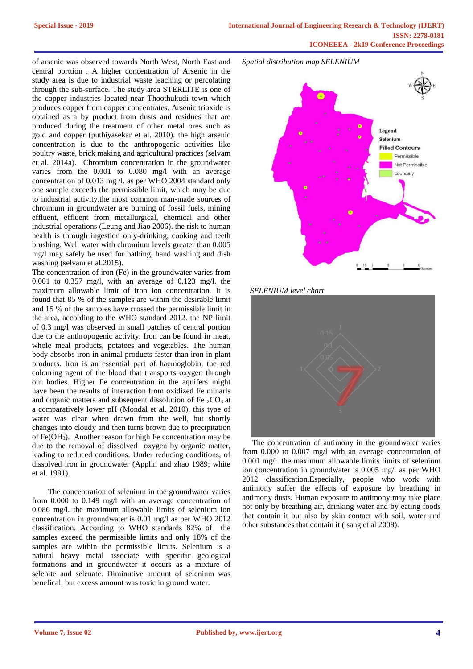of arsenic was observed towards North West, North East and central porttion . A higher concentration of Arsenic in the study area is due to industrial waste leaching or percolating through the sub-surface. The study area STERLITE is one of the copper industries located near Thoothukudi town which produces copper from copper concentrates. Arsenic trioxide is obtained as a by product from dusts and residues that are produced during the treatment of other metal ores such as gold and copper (puthiyasekar et al. 2010). the high arsenic concentration is due to the anthropogenic activities like poultry waste, brick making and agricultural practices (selvam et al. 2014a). Chromium concentration in the groundwater varies from the 0.001 to 0.080 mg/l with an average concentration of 0.013 mg /l. as per WHO 2004 standard only one sample exceeds the permissible limit, which may be due to industrial activity.the most common man-made sources of chromium in groundwater are burning of fossil fuels, mining effluent, effluent from metallurgical, chemical and other industrial operations (Leung and Jiao 2006). the risk to human health is through ingestion only-drinking, cooking and teeth brushing. Well water with chromium levels greater than 0.005 mg/l may safely be used for bathing, hand washing and dish washing (selvam et al.2015).

The concentration of iron (Fe) in the groundwater varies from 0.001 to 0.357 mg/l, with an average of 0.123 mg/l. the maximum allowable limit of iron ion concentration. It is found that 85 % of the samples are within the desirable limit and 15 % of the samples have crossed the permissible limit in the area, according to the WHO standard 2012. the NP limit of 0.3 mg/l was observed in small patches of central portion due to the anthropogenic activity. Iron can be found in meat, whole meal products, potatoes and vegetables. The human body absorbs iron in animal products faster than iron in plant products. Iron is an essential part of haemoglobin, the red colouring agent of the blood that transports oxygen through our bodies. Higher Fe concentration in the aquifers might have been the results of interaction from oxidized Fe minarls and organic matters and subsequent dissolution of Fe  ${}_{2}CO_{3}$  at a comparatively lower pH (Mondal et al. 2010). this type of water was clear when drawn from the well, but shortly changes into cloudy and then turns brown due to precipitation of Fe(OH3). Another reason for high Fe concentration may be due to the removal of dissolved oxygen by organic matter, leading to reduced conditions. Under reducing conditions, of dissolved iron in groundwater (Applin and zhao 1989; white et al. 1991).

The concentration of selenium in the groundwater varies from 0.000 to 0.149 mg/l with an average concentration of 0.086 mg/l. the maximum allowable limits of selenium ion concentration in groundwater is 0.01 mg/l as per WHO 2012 classification. According to WHO standards 82% of the samples exceed the permissible limits and only 18% of the samples are within the permissible limits. Selenium is a natural heavy metal associate with specific geological formations and in groundwater it occurs as a mixture of selenite and selenate. Diminutive amount of selenium was benefical, but excess amount was toxic in ground water.



# *SELENIUM level chart*



The concentration of antimony in the groundwater varies from 0.000 to 0.007 mg/l with an average concentration of 0.001 mg/l. the maximum allowable limits limits of selenium ion concentration in groundwater is 0.005 mg/l as per WHO 2012 classification.Especially, people who work with antimony suffer the effects of exposure by breathing in antimony dusts. Human exposure to antimony may take place not only by breathing air, drinking water and by eating foods that contain it but also by skin contact with soil, water and other substances that contain it ( sang et al 2008).